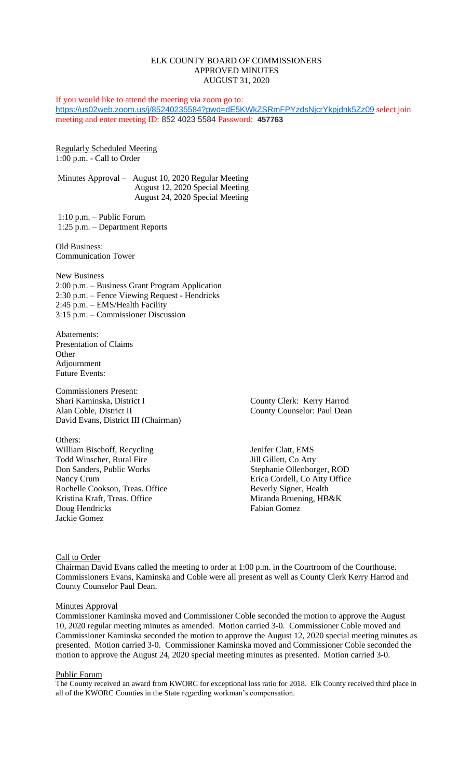# ELK COUNTY BOARD OF COMMISSIONERS APPROVED MINUTES AUGUST 31, 2020

If you would like to attend the meeting via zoom go to: <https://us02web.zoom.us/j/85240235584?pwd=dE5KWkZSRmFPYzdsNjcrYkpjdnk5Zz09> select join meeting and enter meeting ID: 852 4023 5584 Password: **457763**

Regularly Scheduled Meeting 1:00 p.m. - Call to Order

Minutes Approval – August 10, 2020 Regular Meeting August 12, 2020 Special Meeting August 24, 2020 Special Meeting

1:10 p.m. – Public Forum 1:25 p.m. – Department Reports

Old Business: Communication Tower

New Business 2:00 p.m. – Business Grant Program Application 2:30 p.m. – Fence Viewing Request - Hendricks 2:45 p.m. – EMS/Health Facility 3:15 p.m. – Commissioner Discussion

Abatements: Presentation of Claims **Other** Adjournment Future Events:

Commissioners Present: Shari Kaminska, District I County Clerk: Kerry Harrod Alan Coble, District II County Counselor: Paul Dean David Evans, District III (Chairman)

Others: William Bischoff, Recycling Jenifer Clatt, EMS Todd Winscher, Rural Fire Jill Gillett, Co Atty<br>
Don Sanders, Public Works Stephanie Ollenborg Nancy Crum Erica Cordell, Co Atty Office Rochelle Cookson, Treas. Office Beverly Signer, Health Kristina Kraft, Treas. Office Miranda Bruening, HB&K Doug Hendricks Fabian Gomez Jackie Gomez

Stephanie Ollenborger, ROD

Call to Order

Chairman David Evans called the meeting to order at 1:00 p.m. in the Courtroom of the Courthouse. Commissioners Evans, Kaminska and Coble were all present as well as County Clerk Kerry Harrod and County Counselor Paul Dean.

### **Minutes Approval**

Commissioner Kaminska moved and Commissioner Coble seconded the motion to approve the August 10, 2020 regular meeting minutes as amended. Motion carried 3-0. Commissioner Coble moved and Commissioner Kaminska seconded the motion to approve the August 12, 2020 special meeting minutes as presented. Motion carried 3-0. Commissioner Kaminska moved and Commissioner Coble seconded the motion to approve the August 24, 2020 special meeting minutes as presented. Motion carried 3-0.

### Public Forum

The County received an award from KWORC for exceptional loss ratio for 2018. Elk County received third place in all of the KWORC Counties in the State regarding workman's compensation.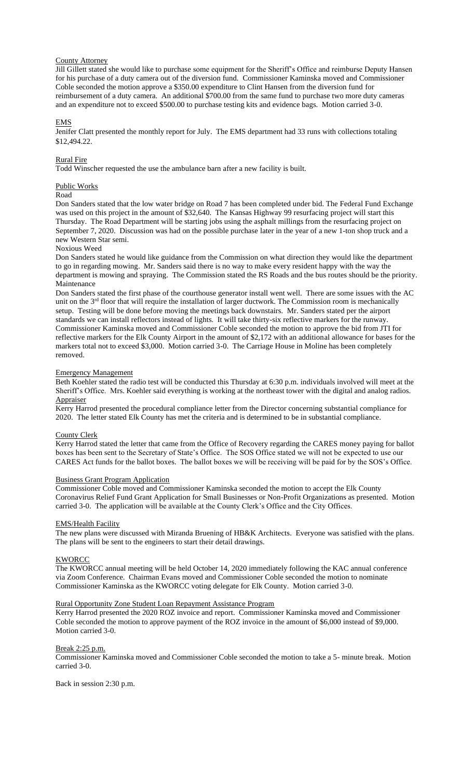### County Attorney

Jill Gillett stated she would like to purchase some equipment for the Sheriff's Office and reimburse Deputy Hansen for his purchase of a duty camera out of the diversion fund. Commissioner Kaminska moved and Commissioner Coble seconded the motion approve a \$350.00 expenditure to Clint Hansen from the diversion fund for reimbursement of a duty camera. An additional \$700.00 from the same fund to purchase two more duty cameras and an expenditure not to exceed \$500.00 to purchase testing kits and evidence bags. Motion carried 3-0.

### EMS

Jenifer Clatt presented the monthly report for July. The EMS department had 33 runs with collections totaling \$12,494.22.

### Rural Fire

Todd Winscher requested the use the ambulance barn after a new facility is built.

#### Public Works

Road

Don Sanders stated that the low water bridge on Road 7 has been completed under bid. The Federal Fund Exchange was used on this project in the amount of \$32,640. The Kansas Highway 99 resurfacing project will start this Thursday. The Road Department will be starting jobs using the asphalt millings from the resurfacing project on September 7, 2020. Discussion was had on the possible purchase later in the year of a new 1-ton shop truck and a new Western Star semi.

## Noxious Weed

Don Sanders stated he would like guidance from the Commission on what direction they would like the department to go in regarding mowing. Mr. Sanders said there is no way to make every resident happy with the way the department is mowing and spraying. The Commission stated the RS Roads and the bus routes should be the priority. Maintenance

Don Sanders stated the first phase of the courthouse generator install went well. There are some issues with the AC unit on the  $3<sup>rd</sup>$  floor that will require the installation of larger ductwork. The Commission room is mechanically setup. Testing will be done before moving the meetings back downstairs. Mr. Sanders stated per the airport standards we can install reflectors instead of lights. It will take thirty-six reflective markers for the runway. Commissioner Kaminska moved and Commissioner Coble seconded the motion to approve the bid from JTI for reflective markers for the Elk County Airport in the amount of \$2,172 with an additional allowance for bases for the markers total not to exceed \$3,000. Motion carried 3-0. The Carriage House in Moline has been completely removed.

#### Emergency Management

Beth Koehler stated the radio test will be conducted this Thursday at 6:30 p.m. individuals involved will meet at the Sheriff's Office. Mrs. Koehler said everything is working at the northeast tower with the digital and analog radios. **Appraiser** 

Kerry Harrod presented the procedural compliance letter from the Director concerning substantial compliance for 2020. The letter stated Elk County has met the criteria and is determined to be in substantial compliance.

### County Clerk

Kerry Harrod stated the letter that came from the Office of Recovery regarding the CARES money paying for ballot boxes has been sent to the Secretary of State's Office. The SOS Office stated we will not be expected to use our CARES Act funds for the ballot boxes. The ballot boxes we will be receiving will be paid for by the SOS's Office.

### Business Grant Program Application

Commissioner Coble moved and Commissioner Kaminska seconded the motion to accept the Elk County Coronavirus Relief Fund Grant Application for Small Businesses or Non-Profit Organizations as presented. Motion carried 3-0. The application will be available at the County Clerk's Office and the City Offices.

### EMS/Health Facility

The new plans were discussed with Miranda Bruening of HB&K Architects. Everyone was satisfied with the plans. The plans will be sent to the engineers to start their detail drawings.

## **KWORCC**

The KWORCC annual meeting will be held October 14, 2020 immediately following the KAC annual conference via Zoom Conference. Chairman Evans moved and Commissioner Coble seconded the motion to nominate Commissioner Kaminska as the KWORCC voting delegate for Elk County. Motion carried 3-0.

#### Rural Opportunity Zone Student Loan Repayment Assistance Program

Kerry Harrod presented the 2020 ROZ invoice and report. Commissioner Kaminska moved and Commissioner Coble seconded the motion to approve payment of the ROZ invoice in the amount of \$6,000 instead of \$9,000. Motion carried 3-0.

#### Break 2:25 p.m.

Commissioner Kaminska moved and Commissioner Coble seconded the motion to take a 5- minute break. Motion carried 3-0.

Back in session 2:30 p.m.